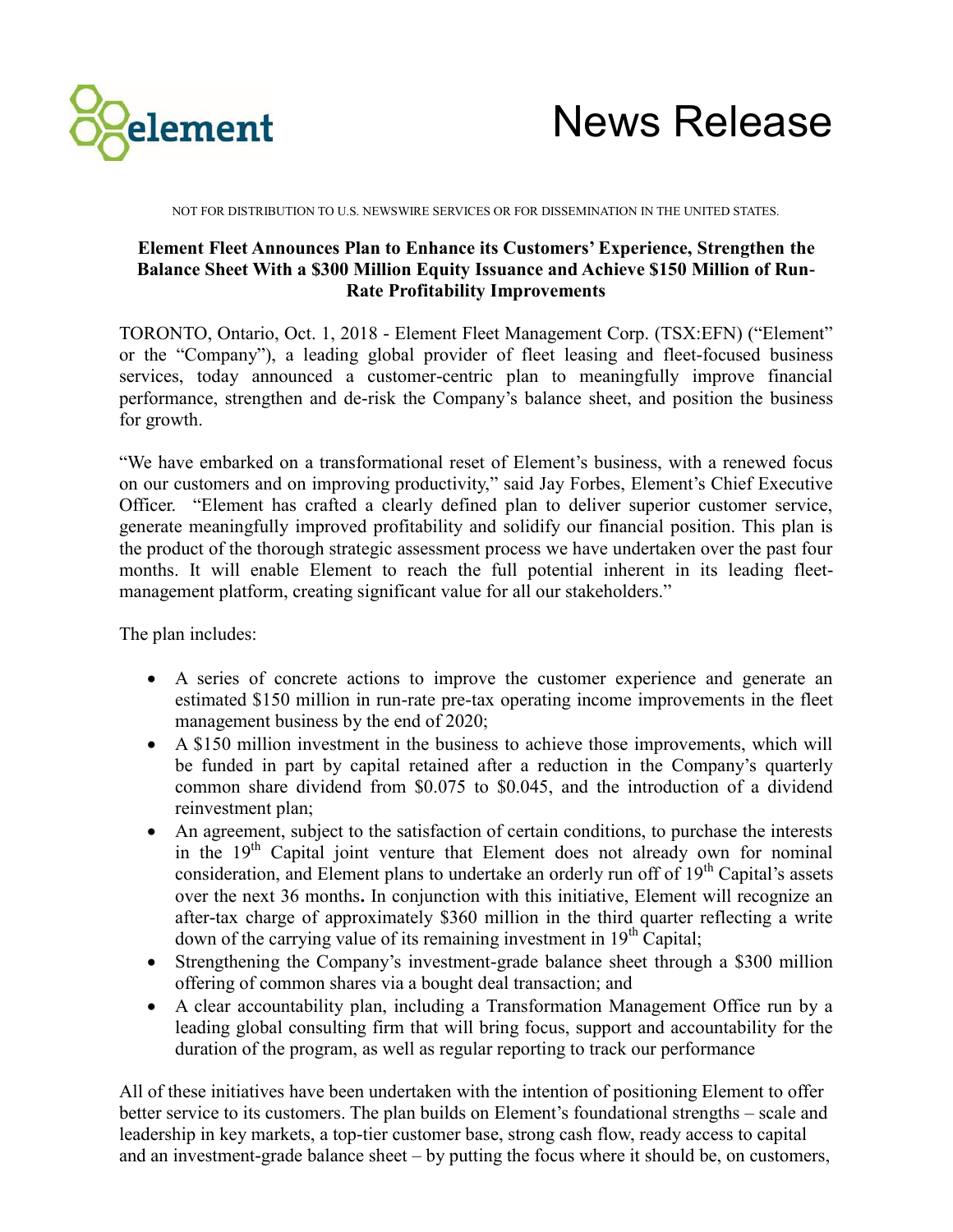

NOT FOR DISTRIBUTION TO U.S. NEWSWIRE SERVICES OR FOR DISSEMINATION IN THE UNITED STATES.

# **Element Fleet Announces Plan to Enhance its Customers' Experience, Strengthen the Balance Sheet With a \$300 Million Equity Issuance and Achieve \$150 Million of Run-Rate Profitability Improvements**

TORONTO, Ontario, Oct. 1, 2018 - Element Fleet Management Corp. (TSX:EFN) ("Element" or the "Company"), a leading global provider of fleet leasing and fleet-focused business services, today announced a customer-centric plan to meaningfully improve financial performance, strengthen and de-risk the Company's balance sheet, and position the business for growth.

"We have embarked on a transformational reset of Element's business, with a renewed focus on our customers and on improving productivity," said Jay Forbes, Element's Chief Executive Officer. "Element has crafted a clearly defined plan to deliver superior customer service, generate meaningfully improved profitability and solidify our financial position. This plan is the product of the thorough strategic assessment process we have undertaken over the past four months. It will enable Element to reach the full potential inherent in its leading fleetmanagement platform, creating significant value for all our stakeholders."

The plan includes:

- A series of concrete actions to improve the customer experience and generate an estimated \$150 million in run-rate pre-tax operating income improvements in the fleet management business by the end of 2020;
- A \$150 million investment in the business to achieve those improvements, which will be funded in part by capital retained after a reduction in the Company's quarterly common share dividend from \$0.075 to \$0.045, and the introduction of a dividend reinvestment plan;
- An agreement, subject to the satisfaction of certain conditions, to purchase the interests in the  $19<sup>th</sup>$  Capital joint venture that Element does not already own for nominal consideration, and Element plans to undertake an orderly run off of  $19<sup>th</sup>$  Capital's assets over the next 36 months**.** In conjunction with this initiative, Element will recognize an after-tax charge of approximately \$360 million in the third quarter reflecting a write down of the carrying value of its remaining investment in 19<sup>th</sup> Capital;
- Strengthening the Company's investment-grade balance sheet through a \$300 million offering of common shares via a bought deal transaction; and
- A clear accountability plan, including a Transformation Management Office run by a leading global consulting firm that will bring focus, support and accountability for the duration of the program, as well as regular reporting to track our performance

All of these initiatives have been undertaken with the intention of positioning Element to offer better service to its customers. The plan builds on Element's foundational strengths – scale and leadership in key markets, a top-tier customer base, strong cash flow, ready access to capital and an investment-grade balance sheet – by putting the focus where it should be, on customers,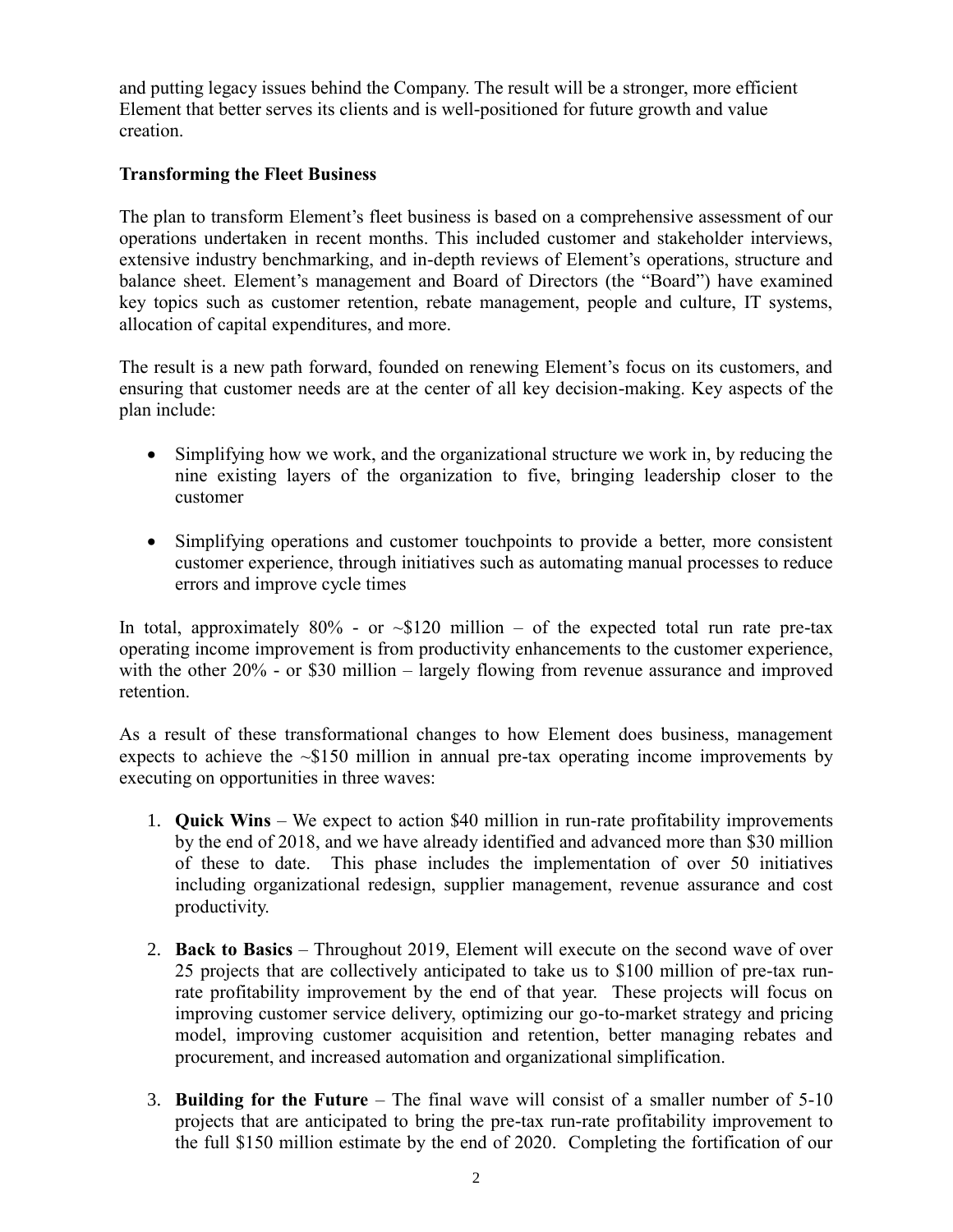and putting legacy issues behind the Company. The result will be a stronger, more efficient Element that better serves its clients and is well-positioned for future growth and value creation.

# **Transforming the Fleet Business**

The plan to transform Element's fleet business is based on a comprehensive assessment of our operations undertaken in recent months. This included customer and stakeholder interviews, extensive industry benchmarking, and in-depth reviews of Element's operations, structure and balance sheet. Element's management and Board of Directors (the "Board") have examined key topics such as customer retention, rebate management, people and culture, IT systems, allocation of capital expenditures, and more.

The result is a new path forward, founded on renewing Element's focus on its customers, and ensuring that customer needs are at the center of all key decision-making. Key aspects of the plan include:

- Simplifying how we work, and the organizational structure we work in, by reducing the nine existing layers of the organization to five, bringing leadership closer to the customer
- Simplifying operations and customer touchpoints to provide a better, more consistent customer experience, through initiatives such as automating manual processes to reduce errors and improve cycle times

In total, approximately 80% - or  $\sim$ \$120 million – of the expected total run rate pre-tax operating income improvement is from productivity enhancements to the customer experience, with the other 20% - or \$30 million – largely flowing from revenue assurance and improved retention.

As a result of these transformational changes to how Element does business, management expects to achieve the  $\sim $150$  million in annual pre-tax operating income improvements by executing on opportunities in three waves:

- 1. **Quick Wins** We expect to action \$40 million in run-rate profitability improvements by the end of 2018, and we have already identified and advanced more than \$30 million of these to date. This phase includes the implementation of over 50 initiatives including organizational redesign, supplier management, revenue assurance and cost productivity.
- 2. **Back to Basics** Throughout 2019, Element will execute on the second wave of over 25 projects that are collectively anticipated to take us to \$100 million of pre-tax runrate profitability improvement by the end of that year. These projects will focus on improving customer service delivery, optimizing our go-to-market strategy and pricing model, improving customer acquisition and retention, better managing rebates and procurement, and increased automation and organizational simplification.
- 3. **Building for the Future** The final wave will consist of a smaller number of 5-10 projects that are anticipated to bring the pre-tax run-rate profitability improvement to the full \$150 million estimate by the end of 2020. Completing the fortification of our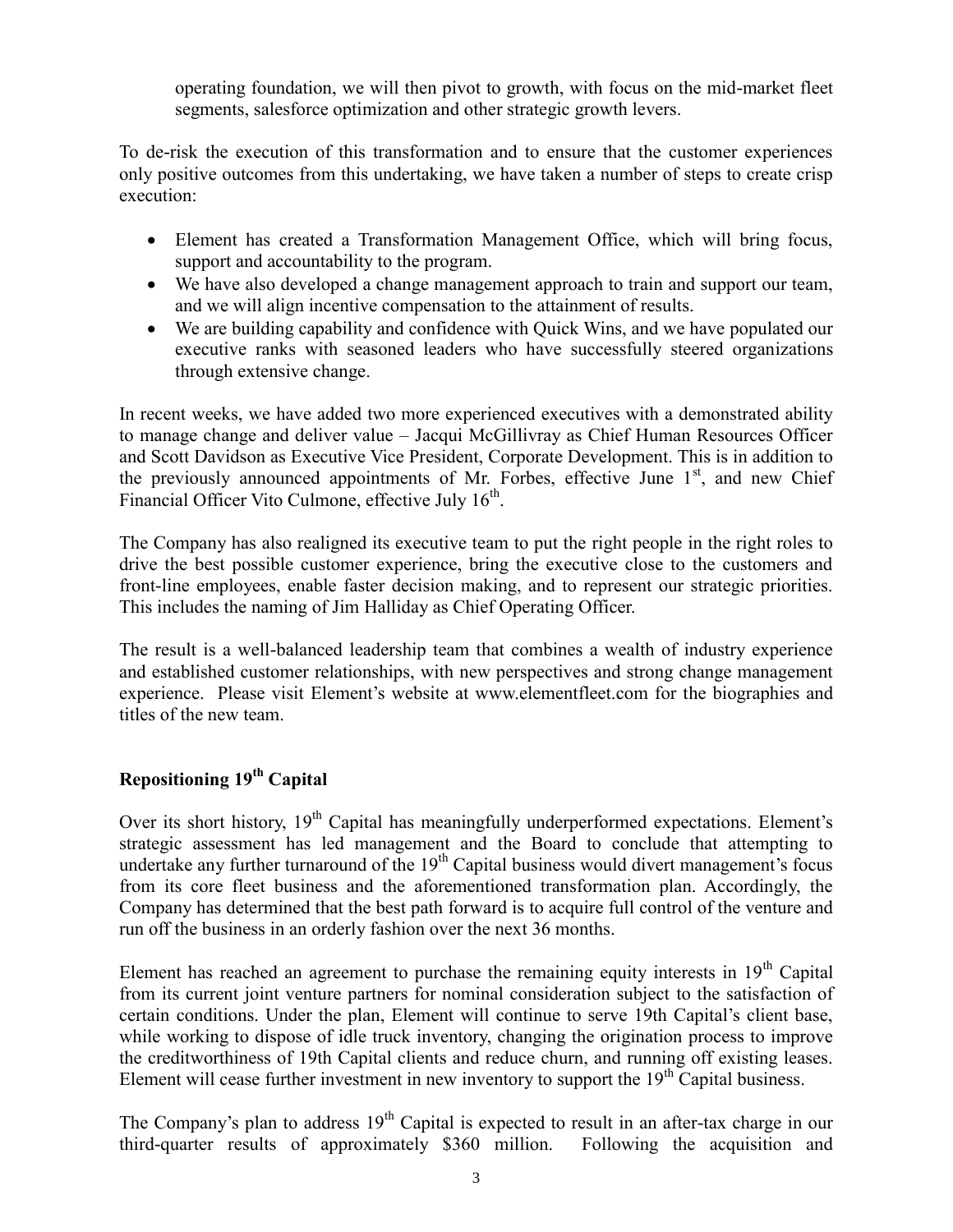operating foundation, we will then pivot to growth, with focus on the mid-market fleet segments, salesforce optimization and other strategic growth levers.

To de-risk the execution of this transformation and to ensure that the customer experiences only positive outcomes from this undertaking, we have taken a number of steps to create crisp execution:

- Element has created a Transformation Management Office, which will bring focus, support and accountability to the program.
- We have also developed a change management approach to train and support our team, and we will align incentive compensation to the attainment of results.
- We are building capability and confidence with Quick Wins, and we have populated our executive ranks with seasoned leaders who have successfully steered organizations through extensive change.

In recent weeks, we have added two more experienced executives with a demonstrated ability to manage change and deliver value – Jacqui McGillivray as Chief Human Resources Officer and Scott Davidson as Executive Vice President, Corporate Development. This is in addition to the previously announced appointments of Mr. Forbes, effective June  $1<sup>st</sup>$ , and new Chief Financial Officer Vito Culmone, effective July 16<sup>th</sup>.

The Company has also realigned its executive team to put the right people in the right roles to drive the best possible customer experience, bring the executive close to the customers and front-line employees, enable faster decision making, and to represent our strategic priorities. This includes the naming of Jim Halliday as Chief Operating Officer.

The result is a well-balanced leadership team that combines a wealth of industry experience and established customer relationships, with new perspectives and strong change management experience. Please visit Element's website at www.elementfleet.com for the biographies and titles of the new team.

# **Repositioning 19th Capital**

Over its short history,  $19<sup>th</sup>$  Capital has meaningfully underperformed expectations. Element's strategic assessment has led management and the Board to conclude that attempting to undertake any further turnaround of the 19<sup>th</sup> Capital business would divert management's focus from its core fleet business and the aforementioned transformation plan. Accordingly, the Company has determined that the best path forward is to acquire full control of the venture and run off the business in an orderly fashion over the next 36 months.

Element has reached an agreement to purchase the remaining equity interests in  $19<sup>th</sup>$  Capital from its current joint venture partners for nominal consideration subject to the satisfaction of certain conditions. Under the plan, Element will continue to serve 19th Capital's client base, while working to dispose of idle truck inventory, changing the origination process to improve the creditworthiness of 19th Capital clients and reduce churn, and running off existing leases. Element will cease further investment in new inventory to support the  $19<sup>th</sup>$  Capital business.

The Company's plan to address  $19<sup>th</sup>$  Capital is expected to result in an after-tax charge in our third-quarter results of approximately \$360 million. Following the acquisition and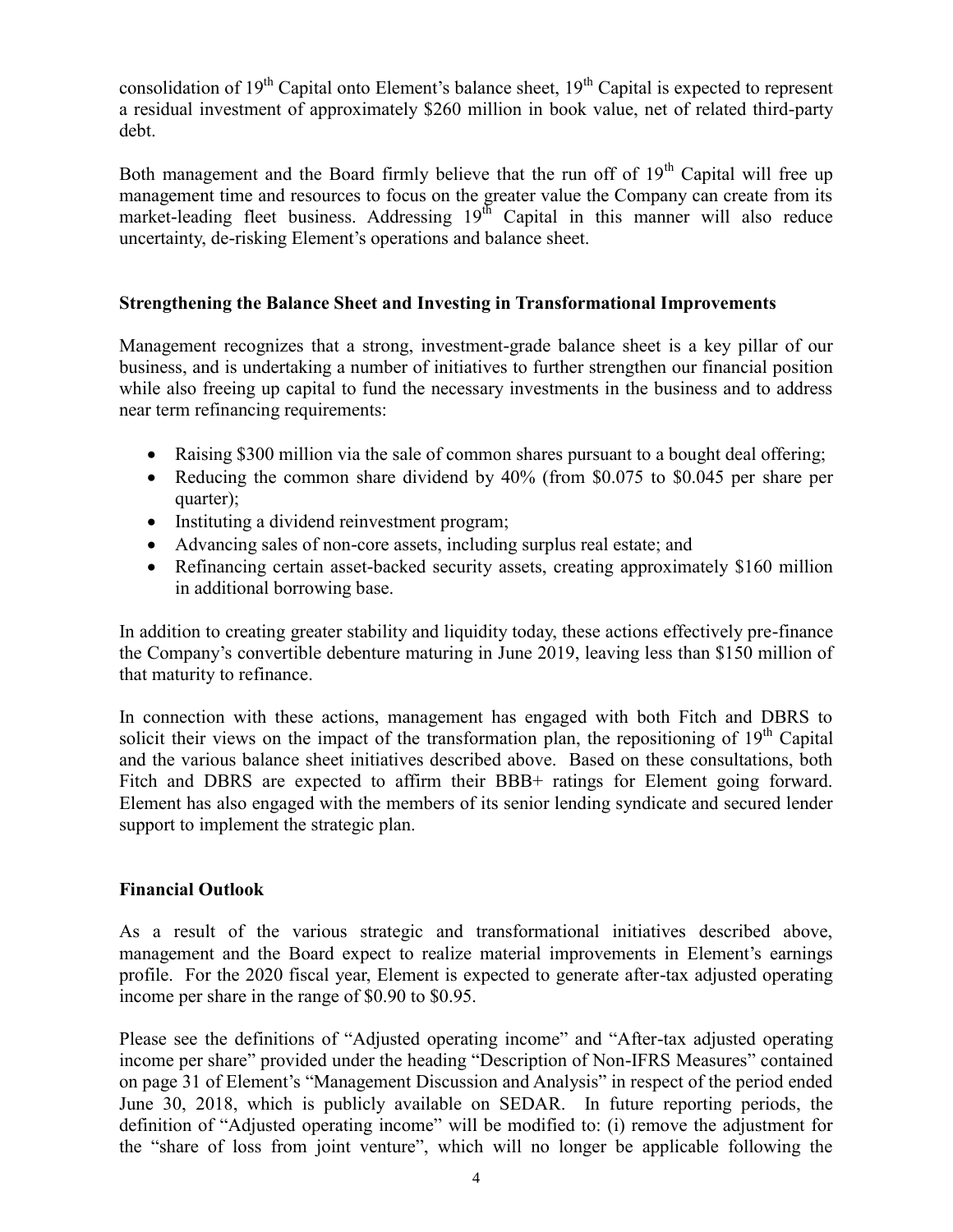consolidation of  $19<sup>th</sup>$  Capital onto Element's balance sheet,  $19<sup>th</sup>$  Capital is expected to represent a residual investment of approximately \$260 million in book value, net of related third-party debt.

Both management and the Board firmly believe that the run off of  $19<sup>th</sup>$  Capital will free up management time and resources to focus on the greater value the Company can create from its market-leading fleet business. Addressing  $19<sup>th</sup>$  Capital in this manner will also reduce uncertainty, de-risking Element's operations and balance sheet.

## **Strengthening the Balance Sheet and Investing in Transformational Improvements**

Management recognizes that a strong, investment-grade balance sheet is a key pillar of our business, and is undertaking a number of initiatives to further strengthen our financial position while also freeing up capital to fund the necessary investments in the business and to address near term refinancing requirements:

- Raising \$300 million via the sale of common shares pursuant to a bought deal offering;
- Reducing the common share dividend by 40% (from \$0.075 to \$0.045 per share per quarter);
- Instituting a dividend reinvestment program;
- Advancing sales of non-core assets, including surplus real estate; and
- Refinancing certain asset-backed security assets, creating approximately \$160 million in additional borrowing base.

In addition to creating greater stability and liquidity today, these actions effectively pre-finance the Company's convertible debenture maturing in June 2019, leaving less than \$150 million of that maturity to refinance.

In connection with these actions, management has engaged with both Fitch and DBRS to solicit their views on the impact of the transformation plan, the repositioning of  $19<sup>th</sup>$  Capital and the various balance sheet initiatives described above. Based on these consultations, both Fitch and DBRS are expected to affirm their BBB+ ratings for Element going forward. Element has also engaged with the members of its senior lending syndicate and secured lender support to implement the strategic plan.

## **Financial Outlook**

As a result of the various strategic and transformational initiatives described above, management and the Board expect to realize material improvements in Element's earnings profile. For the 2020 fiscal year, Element is expected to generate after-tax adjusted operating income per share in the range of \$0.90 to \$0.95.

Please see the definitions of "Adjusted operating income" and "After-tax adjusted operating income per share" provided under the heading "Description of Non-IFRS Measures" contained on page 31 of Element's "Management Discussion and Analysis" in respect of the period ended June 30, 2018, which is publicly available on SEDAR. In future reporting periods, the definition of "Adjusted operating income" will be modified to: (i) remove the adjustment for the "share of loss from joint venture", which will no longer be applicable following the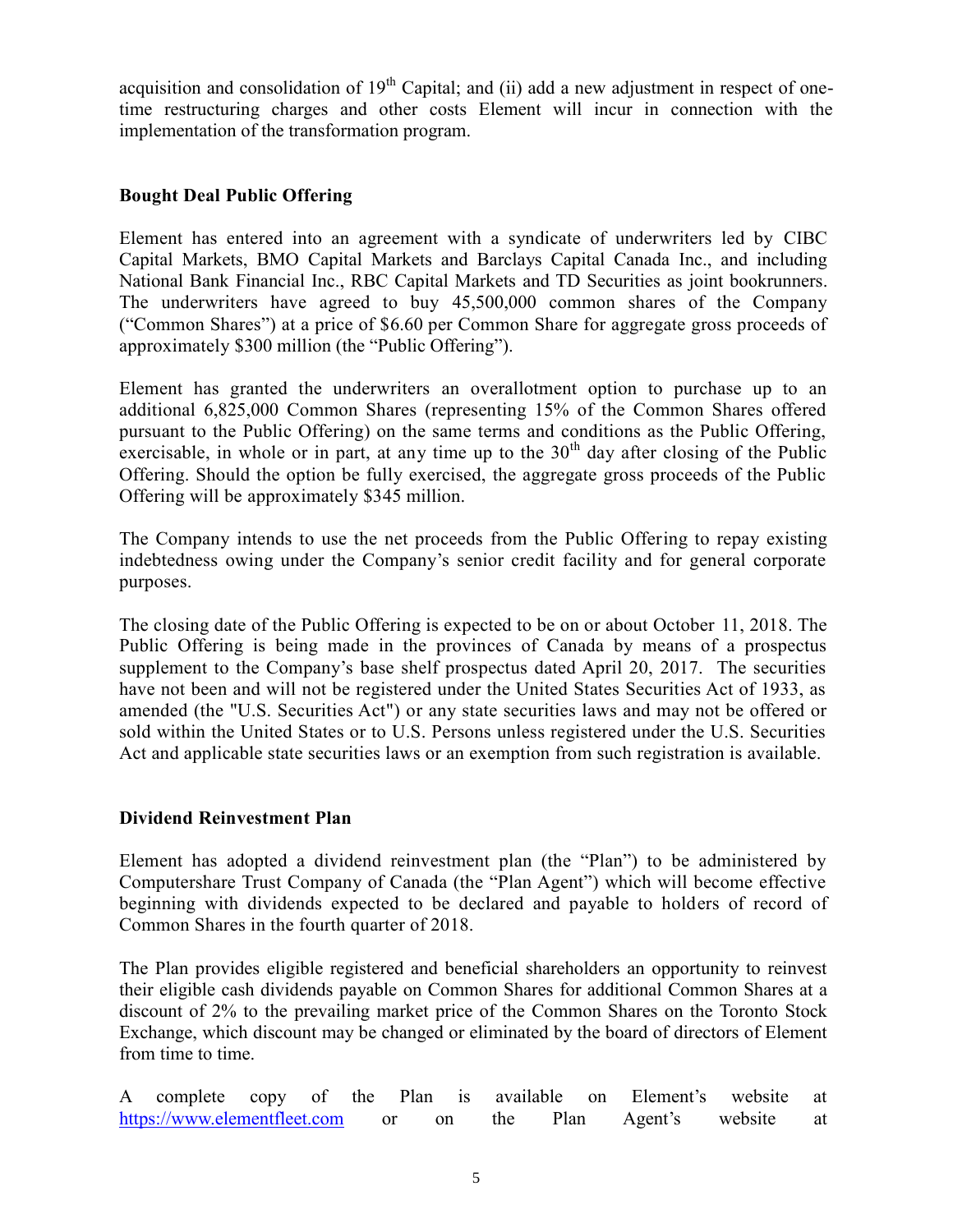acquisition and consolidation of  $19<sup>th</sup>$  Capital; and (ii) add a new adjustment in respect of onetime restructuring charges and other costs Element will incur in connection with the implementation of the transformation program.

## **Bought Deal Public Offering**

Element has entered into an agreement with a syndicate of underwriters led by CIBC Capital Markets, BMO Capital Markets and Barclays Capital Canada Inc., and including National Bank Financial Inc., RBC Capital Markets and TD Securities as joint bookrunners. The underwriters have agreed to buy 45,500,000 common shares of the Company ("Common Shares") at a price of \$6.60 per Common Share for aggregate gross proceeds of approximately \$300 million (the "Public Offering").

Element has granted the underwriters an overallotment option to purchase up to an additional 6,825,000 Common Shares (representing 15% of the Common Shares offered pursuant to the Public Offering) on the same terms and conditions as the Public Offering, exercisable, in whole or in part, at any time up to the  $30<sup>th</sup>$  day after closing of the Public Offering. Should the option be fully exercised, the aggregate gross proceeds of the Public Offering will be approximately \$345 million.

The Company intends to use the net proceeds from the Public Offering to repay existing indebtedness owing under the Company's senior credit facility and for general corporate purposes.

The closing date of the Public Offering is expected to be on or about October 11, 2018. The Public Offering is being made in the provinces of Canada by means of a prospectus supplement to the Company's base shelf prospectus dated April 20, 2017. The securities have not been and will not be registered under the United States Securities Act of 1933, as amended (the "U.S. Securities Act") or any state securities laws and may not be offered or sold within the United States or to U.S. Persons unless registered under the U.S. Securities Act and applicable state securities laws or an exemption from such registration is available.

## **Dividend Reinvestment Plan**

Element has adopted a dividend reinvestment plan (the "Plan") to be administered by Computershare Trust Company of Canada (the "Plan Agent") which will become effective beginning with dividends expected to be declared and payable to holders of record of Common Shares in the fourth quarter of 2018.

The Plan provides eligible registered and beneficial shareholders an opportunity to reinvest their eligible cash dividends payable on Common Shares for additional Common Shares at a discount of 2% to the prevailing market price of the Common Shares on the Toronto Stock Exchange, which discount may be changed or eliminated by the board of directors of Element from time to time.

A complete copy of the Plan is available on Element's website at [https://www.elementfleet.com](https://www.elementfleet.com/) or on the Plan Agent's website at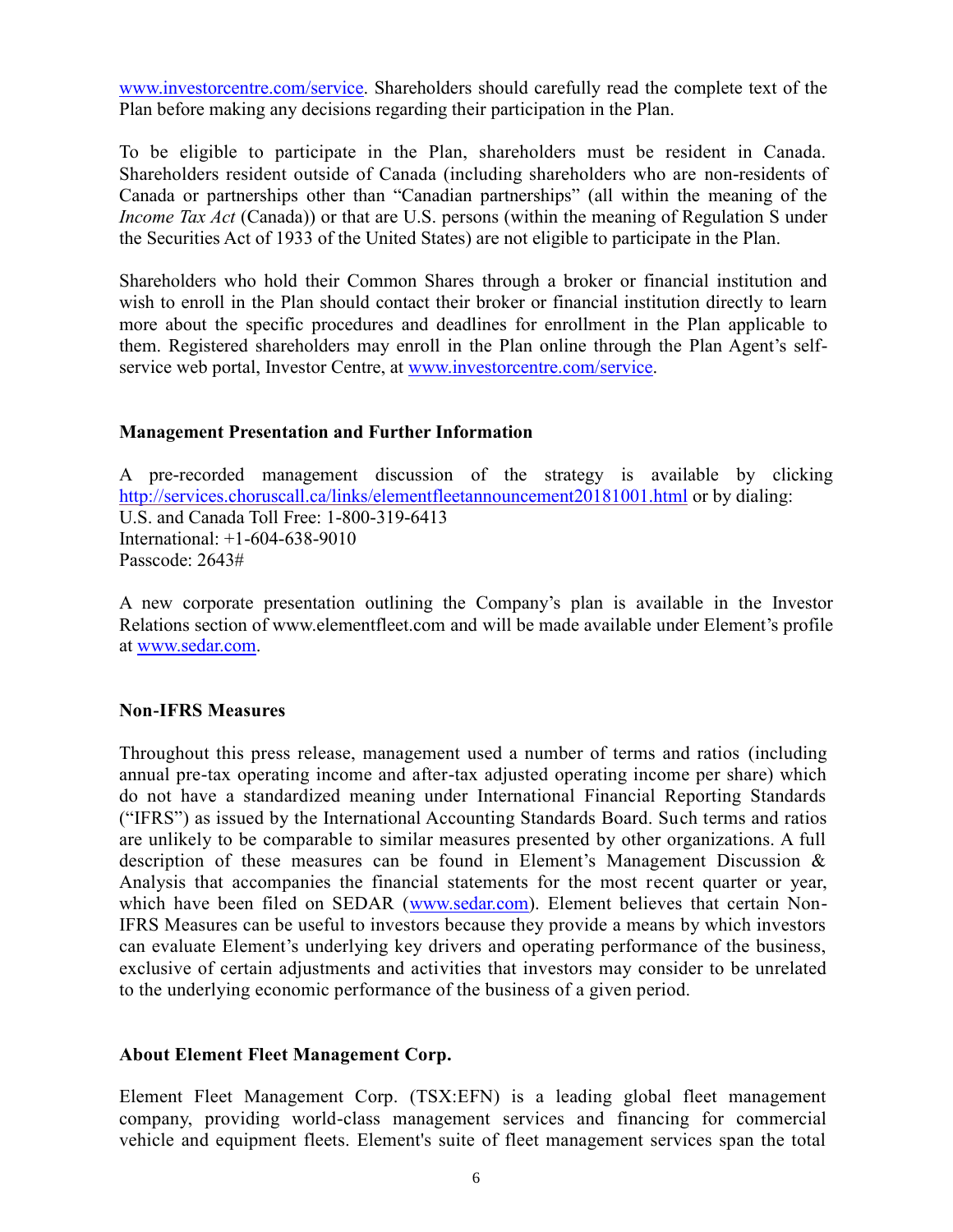[www.investorcentre.com/service.](http://www.investorcentre.com/service) Shareholders should carefully read the complete text of the Plan before making any decisions regarding their participation in the Plan.

To be eligible to participate in the Plan, shareholders must be resident in Canada. Shareholders resident outside of Canada (including shareholders who are non-residents of Canada or partnerships other than "Canadian partnerships" (all within the meaning of the *Income Tax Act* (Canada)) or that are U.S. persons (within the meaning of Regulation S under the Securities Act of 1933 of the United States) are not eligible to participate in the Plan.

Shareholders who hold their Common Shares through a broker or financial institution and wish to enroll in the Plan should contact their broker or financial institution directly to learn more about the specific procedures and deadlines for enrollment in the Plan applicable to them. Registered shareholders may enroll in the Plan online through the Plan Agent's selfservice web portal, Investor Centre, at [www.investorcentre.com/service.](http://www.investorcentre.com/service)

## **Management Presentation and Further Information**

A pre-recorded management discussion of the strategy is available by clicking <http://services.choruscall.ca/links/elementfleetannouncement20181001.html> or by dialing: U.S. and Canada Toll Free: 1-800-319-6413 International: +1-604-638-9010 Passcode: 2643#

A new corporate presentation outlining the Company's plan is available in the Investor Relations section of www.elementfleet.com and will be made available under Element's profile at [www.sedar.com.](http://www.sedar.com/)

## **Non-IFRS Measures**

Throughout this press release, management used a number of terms and ratios (including annual pre-tax operating income and after-tax adjusted operating income per share) which do not have a standardized meaning under International Financial Reporting Standards ("IFRS") as issued by the International Accounting Standards Board. Such terms and ratios are unlikely to be comparable to similar measures presented by other organizations. A full description of these measures can be found in Element's Management Discussion & Analysis that accompanies the financial statements for the most recent quarter or year, which have been filed on SEDAR [\(www.sedar.com\)](http://www.sedar.com/). Element believes that certain Non-IFRS Measures can be useful to investors because they provide a means by which investors can evaluate Element's underlying key drivers and operating performance of the business, exclusive of certain adjustments and activities that investors may consider to be unrelated to the underlying economic performance of the business of a given period.

#### **About Element Fleet Management Corp.**

Element Fleet Management Corp. (TSX:EFN) is a leading global fleet management company, providing world-class management services and financing for commercial vehicle and equipment fleets. Element's suite of fleet management services span the total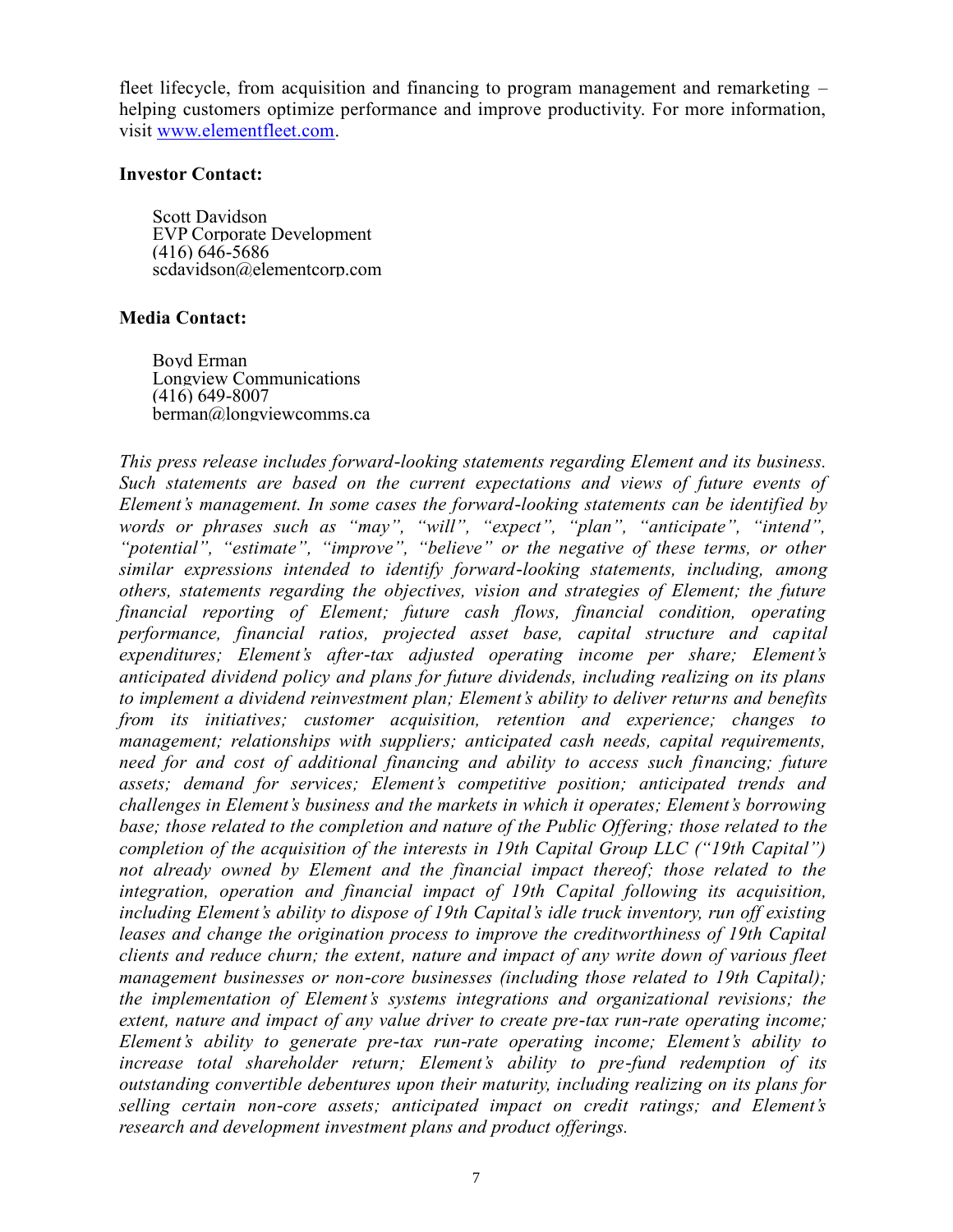fleet lifecycle, from acquisition and financing to program management and remarketing – helping customers optimize performance and improve productivity. For more information, visit [www.elementfleet.com.](http://www.elementfleet.com/)

#### **Investor Contact:**

Scott Davidson EVP Corporate Development (416) 646-5686 scdavidson@elementcorp.com

## **Media Contact:**

Boyd Erman Longview Communications (416) 649-8007 berman@longviewcomms.ca

*This press release includes forward-looking statements regarding Element and its business. Such statements are based on the current expectations and views of future events of Element's management. In some cases the forward-looking statements can be identified by words or phrases such as "may", "will", "expect", "plan", "anticipate", "intend", "potential", "estimate", "improve", "believe" or the negative of these terms, or other similar expressions intended to identify forward-looking statements, including, among others, statements regarding the objectives, vision and strategies of Element; the future financial reporting of Element; future cash flows, financial condition, operating performance, financial ratios, projected asset base, capital structure and capital expenditures; Element's after-tax adjusted operating income per share; Element's anticipated dividend policy and plans for future dividends, including realizing on its plans to implement a dividend reinvestment plan; Element's ability to deliver returns and benefits from its initiatives; customer acquisition, retention and experience; changes to management; relationships with suppliers; anticipated cash needs, capital requirements, need for and cost of additional financing and ability to access such financing; future assets; demand for services; Element's competitive position; anticipated trends and challenges in Element's business and the markets in which it operates; Element's borrowing base; those related to the completion and nature of the Public Offering; those related to the completion of the acquisition of the interests in 19th Capital Group LLC ("19th Capital") not already owned by Element and the financial impact thereof; those related to the integration, operation and financial impact of 19th Capital following its acquisition, including Element's ability to dispose of 19th Capital's idle truck inventory, run off existing leases and change the origination process to improve the creditworthiness of 19th Capital clients and reduce churn; the extent, nature and impact of any write down of various fleet management businesses or non-core businesses (including those related to 19th Capital); the implementation of Element's systems integrations and organizational revisions; the extent, nature and impact of any value driver to create pre-tax run-rate operating income; Element's ability to generate pre-tax run-rate operating income; Element's ability to increase total shareholder return; Element's ability to pre-fund redemption of its outstanding convertible debentures upon their maturity, including realizing on its plans for selling certain non-core assets; anticipated impact on credit ratings; and Element's research and development investment plans and product offerings.*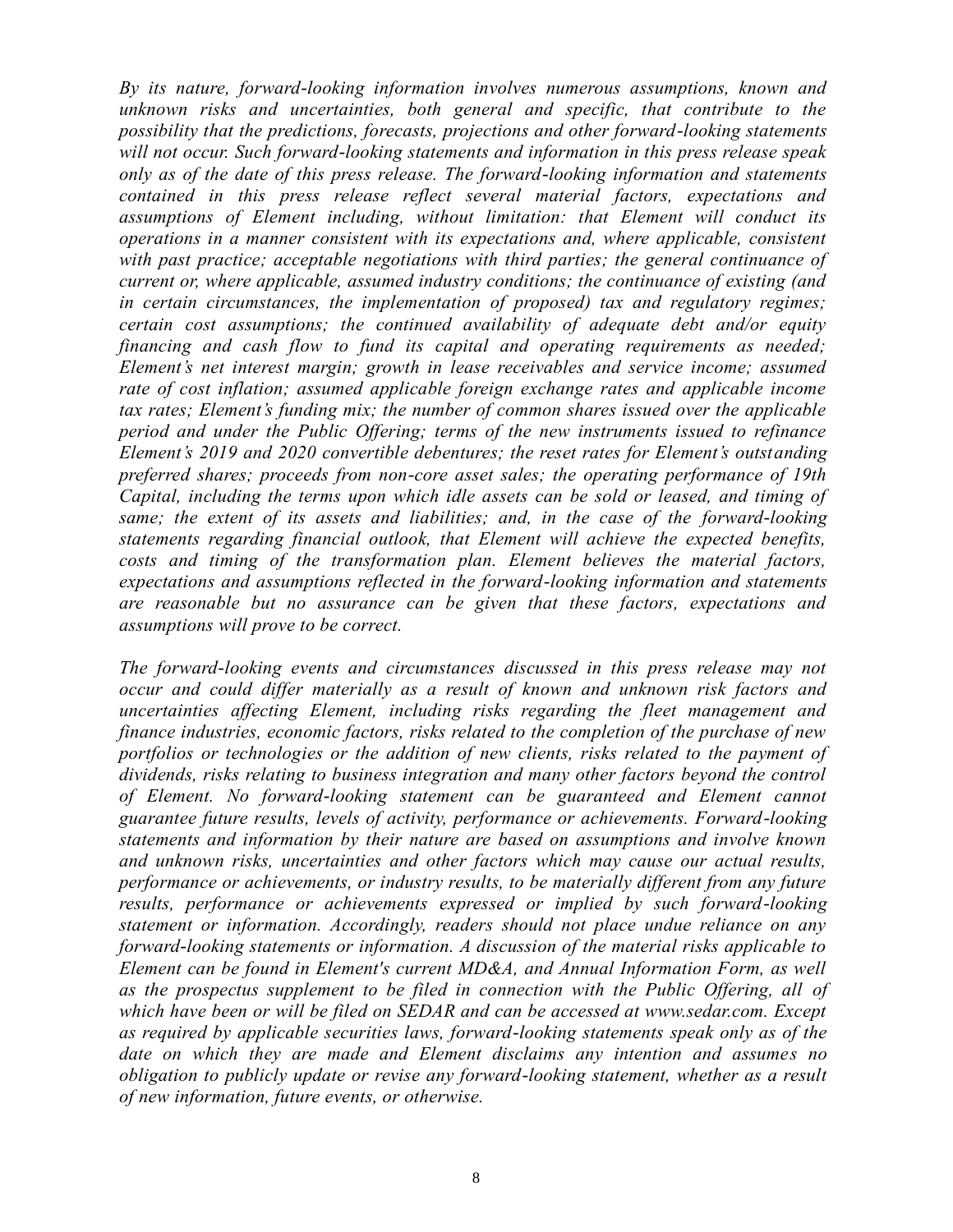*By its nature, forward-looking information involves numerous assumptions, known and unknown risks and uncertainties, both general and specific, that contribute to the possibility that the predictions, forecasts, projections and other forward-looking statements will not occur. Such forward-looking statements and information in this press release speak only as of the date of this press release. The forward-looking information and statements contained in this press release reflect several material factors, expectations and assumptions of Element including, without limitation: that Element will conduct its operations in a manner consistent with its expectations and, where applicable, consistent with past practice; acceptable negotiations with third parties; the general continuance of current or, where applicable, assumed industry conditions; the continuance of existing (and in certain circumstances, the implementation of proposed) tax and regulatory regimes; certain cost assumptions; the continued availability of adequate debt and/or equity financing and cash flow to fund its capital and operating requirements as needed; Element's net interest margin; growth in lease receivables and service income; assumed rate of cost inflation; assumed applicable foreign exchange rates and applicable income tax rates; Element's funding mix; the number of common shares issued over the applicable period and under the Public Offering; terms of the new instruments issued to refinance Element's 2019 and 2020 convertible debentures; the reset rates for Element's outstanding preferred shares; proceeds from non-core asset sales; the operating performance of 19th Capital, including the terms upon which idle assets can be sold or leased, and timing of same; the extent of its assets and liabilities; and, in the case of the forward-looking statements regarding financial outlook, that Element will achieve the expected benefits, costs and timing of the transformation plan. Element believes the material factors, expectations and assumptions reflected in the forward-looking information and statements are reasonable but no assurance can be given that these factors, expectations and assumptions will prove to be correct.*

*The forward-looking events and circumstances discussed in this press release may not occur and could differ materially as a result of known and unknown risk factors and uncertainties affecting Element, including risks regarding the fleet management and finance industries, economic factors, risks related to the completion of the purchase of new portfolios or technologies or the addition of new clients, risks related to the payment of dividends, risks relating to business integration and many other factors beyond the control of Element. No forward-looking statement can be guaranteed and Element cannot guarantee future results, levels of activity, performance or achievements. Forward-looking statements and information by their nature are based on assumptions and involve known and unknown risks, uncertainties and other factors which may cause our actual results, performance or achievements, or industry results, to be materially different from any future results, performance or achievements expressed or implied by such forward-looking statement or information. Accordingly, readers should not place undue reliance on any forward-looking statements or information. A discussion of the material risks applicable to Element can be found in Element's current MD&A, and Annual Information Form, as well as the prospectus supplement to be filed in connection with the Public Offering, all of which have been or will be filed on SEDAR and can be accessed at www.sedar.com. Except as required by applicable securities laws, forward-looking statements speak only as of the date on which they are made and Element disclaims any intention and assumes no obligation to publicly update or revise any forward-looking statement, whether as a result of new information, future events, or otherwise.*